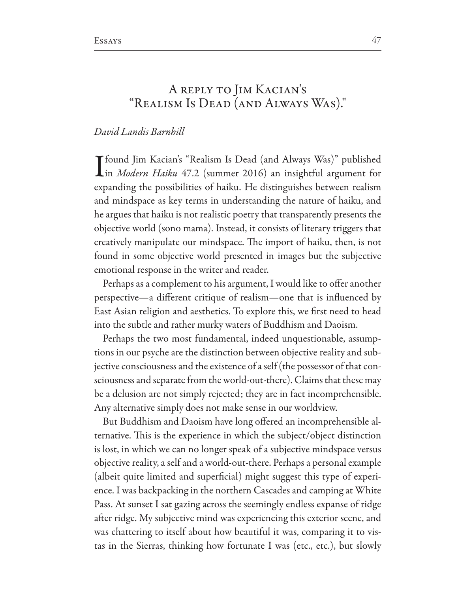## A REPLY TO JIM KACIAN'S "REALISM IS DEAD (AND ALWAYS WAS)."

## David Landis Barnhill

Tfound Jim Kacian's "Realism Is Dead (and Always Was)" published Lin Modern Haiku 47.2 (summer 2016) an insightful argument for expanding the possibilities of haiku. He distinguishes between realism and mindspace as key terms in understanding the nature of haiku, and he argues that haiku is not realistic poetry that transparently presents the objective world (sono mama). Instead, it consists of literary triggers that creatively manipulate our mindspace. The import of haiku, then, is not found in some objective world presented in images but the subjective emotional response in the writer and reader.

Perhaps as a complement to his argument, I would like to offer another perspective—a different critique of realism—one that is influenced by East Asian religion and aesthetics. To explore this, we first need to head into the subtle and rather murky waters of Buddhism and Daoism.

Perhaps the two most fundamental, indeed unquestionable, assumptions in our psyche are the distinction between objective reality and subjective consciousness and the existence of a self (the possessor of that consciousness and separate from the world-out-there). Claims that these may be a delusion are not simply rejected; they are in fact incomprehensible. Any alternative simply does not make sense in our worldview.

But Buddhism and Daoism have long offered an incomprehensible alternative. This is the experience in which the subject/object distinction is lost, in which we can no longer speak of a subjective mindspace versus objective reality, a self and a world-out-there. Perhaps a personal example (albeit quite limited and superficial) might suggest this type of experience. I was backpacking in the northern Cascades and camping at White Pass. At sunset I sat gazing across the seemingly endless expanse of ridge after ridge. My subjective mind was experiencing this exterior scene, and was chattering to itself about how beautiful it was, comparing it to vistas in the Sierras, thinking how fortunate I was (etc., etc.), but slowly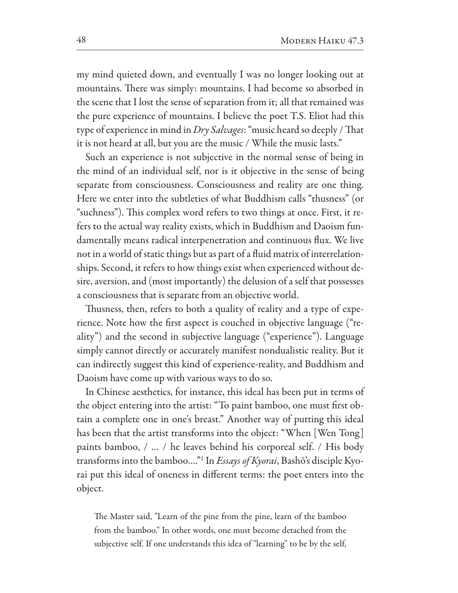my mind quieted down, and eventually I was no longer looking out at mountains. There was simply: mountains. I had become so absorbed in the scene that I lost the sense of separation from it; all that remained was the pure experience of mountains. I believe the poet T.S. Eliot had this type of experience in mind in Dry Salvages: "music heard so deeply / That it is not heard at all, but you are the music / While the music lasts."

Such an experience is not subjective in the normal sense of being in the mind of an individual self, nor is it objective in the sense of being separate from consciousness. Consciousness and reality are one thing. Here we enter into the subtleties of what Buddhism calls "thusness" (or "suchness"). This complex word refers to two things at once. First, it refers to the actual way reality exists, which in Buddhism and Daoism fundamentally means radical interpenetration and continuous flux. We live not in a world of static things but as part of a fluid matrix of interrelationships. Second, it refers to how things exist when experienced without desire, aversion, and (most importantly) the delusion of a self that possesses a consciousness that is separate from an objective world.

Thusness, then, refers to both a quality of reality and a type of experience. Note how the first aspect is couched in objective language ("reality") and the second in subjective language ("experience"). Language simply cannot directly or accurately manifest nondualistic reality. But it can indirectly suggest this kind of experience-reality, and Buddhism and Daoism have come up with various ways to do so.

In Chinese aesthetics, for instance, this ideal has been put in terms of the object entering into the artist: "To paint bamboo, one must first obtain a complete one in one's breast." Another way of putting this ideal has been that the artist transforms into the object: "When [Wen Tong] paints bamboo, / ... / he leaves behind his corporeal self. / His body transforms into the bamboo..."<sup>1</sup> In *Essays of Kyorai*, Bashō's disciple Kyorai put this ideal of oneness in different terms: the poet enters into the object.

The Master said, "Learn of the pine from the pine, learn of the bamboo from the bamboo." In other words, one must become detached from the subjective self. If one understands this idea of "learning" to be by the self,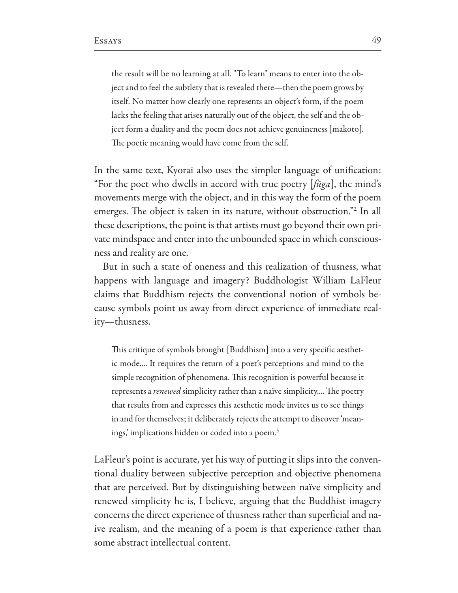the result will be no learning at all. "To learn" means to enter into the object and to feel the subtlety that is revealed there-then the poem grows by itself. No matter how clearly one represents an object's form, if the poem lacks the feeling that arises naturally out of the object, the self and the object form a duality and the poem does not achieve genuineness [makoto]. The poetic meaning would have come from the self.

In the same text, Kyorai also uses the simpler language of unification: "For the poet who dwells in accord with true poetry [ $\ell \bar{u}$ ga], the mind's movements merge with the object, and in this way the form of the poem emerges. The object is taken in its nature, without obstruction."<sup>2</sup> In all these descriptions, the point is that artists must go beyond their own private mindspace and enter into the unbounded space in which consciousness and reality are one.

But in such a state of oneness and this realization of thusness, what happens with language and imagery? Buddhologist William LaFleur claims that Buddhism rejects the conventional notion of symbols because symbols point us away from direct experience of immediate reality—thusness.

This critique of symbols brought [Buddhism] into a very specific aesthetic mode.... It requires the return of a poet's perceptions and mind to the simple recognition of phenomena. This recognition is powerful because it represents a *renewed* simplicity rather than a naïve simplicity.... The poetry that results from and expresses this aesthetic mode invites us to see things in and for themselves; it deliberately rejects the attempt to discover 'meanings, implications hidden or coded into a poem.<sup>3</sup>

LaFleur's point is accurate, yet his way of putting it slips into the conventional duality between subjective perception and objective phenomena that are perceived. But by distinguishing between naïve simplicity and renewed simplicity he is, I believe, arguing that the Buddhist imagery concerns the direct experience of thusness rather than superficial and naive realism, and the meaning of a poem is that experience rather than some abstract intellectual content.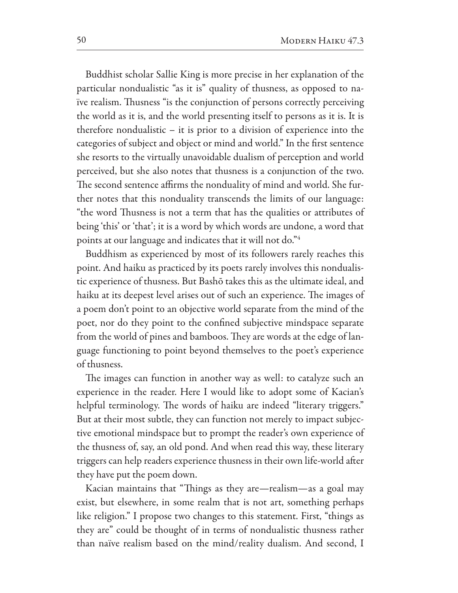Buddhist scholar Sallie King is more precise in her explanation of the particular nondualistic "as it is" quality of thusness, as opposed to naive realism. Thusness "is the conjunction of persons correctly perceiving the world as it is, and the world presenting itself to persons as it is. It is therefore nondualistic  $-$  it is prior to a division of experience into the categories of subject and object or mind and world." In the first sentence she resorts to the virtually unavoidable dualism of perception and world perceived, but she also notes that thusness is a conjunction of the two. The second sentence affirms the nonduality of mind and world. She further notes that this nonduality transcends the limits of our language: "the word Thusness is not a term that has the qualities or attributes of being 'this' or 'that'; it is a word by which words are undone, a word that points at our language and indicates that it will not do."4

Buddhism as experienced by most of its followers rarely reaches this point. And haiku as practiced by its poets rarely involves this nondualistic experience of thusness. But Bashō takes this as the ultimate ideal, and haiku at its deepest level arises out of such an experience. The images of a poem don't point to an objective world separate from the mind of the poet, nor do they point to the confined subjective mindspace separate from the world of pines and bamboos. They are words at the edge of language functioning to point beyond themselves to the poet's experience of thusness.

The images can function in another way as well: to catalyze such an experience in the reader. Here I would like to adopt some of Kacian's helpful terminology. The words of haiku are indeed "literary triggers." But at their most subtle, they can function not merely to impact subjective emotional mindspace but to prompt the reader's own experience of the thusness of, say, an old pond. And when read this way, these literary triggers can help readers experience thusness in their own life-world after they have put the poem down.

Kacian maintains that "Things as they are—realism—as a goal may exist, but elsewhere, in some realm that is not art, something perhaps like religion." I propose two changes to this statement. First, "things as they are" could be thought of in terms of nondualistic thusness rather than naïve realism based on the mind/reality dualism. And second, I